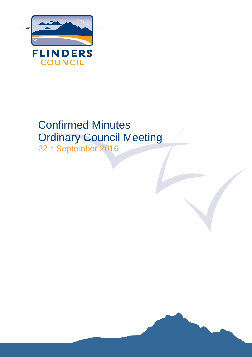

# Confirmed Minutes Ordinary Council Meeting

22<sup>nd</sup> September 2016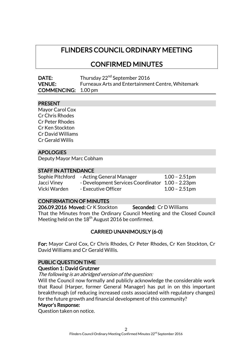# FLINDERS COUNCIL ORDINARY MEETING

CONFIRMED MINUTES

| DATE:                      | Thursday 22 <sup>nd</sup> September 2016                 |
|----------------------------|----------------------------------------------------------|
| <b>VENUE:</b>              | <b>Furneaux Arts and Entertainment Centre, Whitemark</b> |
| <b>COMMENCING:</b> 1.00 pm |                                                          |

# PRESENT

Mayor Carol Cox Cr Chris Rhodes Cr Peter Rhodes Cr Ken Stockton Cr David Williams Cr Gerald Willis

# APOLOGIES

Deputy Mayor Marc Cobham

#### STAFF IN ATTENDANCE

|              | Sophie Pitchford - Acting General Manager        | $1.00 - 2.51$ pm |
|--------------|--------------------------------------------------|------------------|
| Jacci Viney  | - Development Services Coordinator 1.00 - 2.23pm |                  |
| Vicki Warden | - Executive Officer                              | $1.00 - 2.51$ pm |

# CONFIRMATION OF MINUTES

206.09.2016 Moved: Cr K Stockton Seconded: Cr D Williams That the Minutes from the Ordinary Council Meeting and the Closed Council Meeting held on the 18<sup>th</sup> August 2016 be confirmed.

# CARRIED UNANIMOUSLY (6-0)

For: Mayor Carol Cox, Cr Chris Rhodes, Cr Peter Rhodes, Cr Ken Stockton, Cr David Williams and Cr Gerald Willis.

#### PUBLIC QUESTION TIME

#### Question 1: David Grutzner

The following is an abridged version of the question:

Will the Council now formally and publicly acknowledge the considerable work that Raoul (Harper, former General Manager) has put in on this important breakthrough (of reducing increased costs associated with regulatory changes) for the future growth and financial development of this community?

#### Mayor's Response:

Question taken on notice.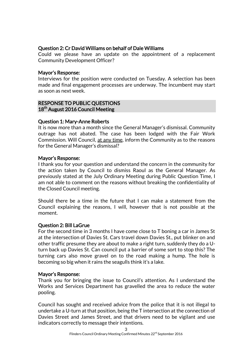# Question 2: Cr David Williams on behalf of Dale Williams

Could we please have an update on the appointment of a replacement Community Development Officer?

# Mayor's Response:

Interviews for the position were conducted on Tuesday. A selection has been made and final engagement processes are underway. The incumbent may start as soon as next week.

# RESPONSE TO PUBLIC QUESTIONS 18<sup>th</sup> August 2016 Council Meeting

# Question 1: Mary-Anne Roberts

It is now more than a month since the General Manager's dismissal. Community outrage has not abated. The case has been lodged with the Fair Work Commission. Will Council, at any time, inform the Community as to the reasons for the General Manager's dismissal?

# Mayor's Response:

I thank you for your question and understand the concern in the community for the action taken by Council to dismiss Raoul as the General Manager. As previously stated at the July Ordinary Meeting during Public Question Time, I am not able to comment on the reasons without breaking the confidentiality of the Closed Council meeting.

Should there be a time in the future that I can make a statement from the Council explaining the reasons, I will, however that is not possible at the moment.

# Question 2: Bill LaGrue

For the second time in 3 months I have come close to T boning a car in James St at the intersection of Davies St. Cars travel down Davies St., put blinker on and other traffic presume they are about to make a right turn, suddenly they do a Uturn back up Davies St. Can council put a barrier of some sort to stop this? The turning cars also move gravel on to the road making a hump. The hole is becoming so big when it rains the seagulls think it's a lake.

# Mayor's Response:

Thank you for bringing the issue to Council's attention. As I understand the Works and Services Department has gravelled the area to reduce the water pooling.

Council has sought and received advice from the police that it is not illegal to undertake a U-turn at that position, being the T intersection at the connection of Davies Street and James Street, and that drivers need to be vigilant and use indicators correctly to message their intentions.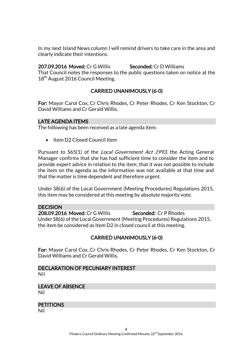In my next Island News column I will remind drivers to take care in the area and clearly indicate their intentions.

207.09.2016 Moved: Cr G Willis Seconded: Cr D Williams That Council notes the responses to the public questions taken on notice at the

18<sup>th</sup> August 2016 Council Meeting.

# CARRIED UNANIMOUSLY (6-0)

For: Mayor Carol Cox, Cr Chris Rhodes, Cr Peter Rhodes, Cr Ken Stockton, Cr David Williams and Cr Gerald Willis.

#### LATE AGENDA ITEMS

The following has been received as a late agenda item:

• Item D2 Closed Council Item

Pursuant to S65(1) of the *Local Government Act 1993*, the Acting General Manager confirms that she has had sufficient time to consider the item and to provide expert advice in relation to the item; that it was not possible to include the item on the agenda as the information was not available at that time and that the matter is time dependent and therefore urgent.

Under S8(6) of the Local Government (Meeting Procedures) Regulations 2015, this item may be considered at this meeting by absolute majority vote.

DECISION 208.09.2016 Moved: Cr G Willis Seconded: Cr P Rhodes Under S8(6) of the Local Government (Meeting Procedures) Regulations 2015, the item be considered as Item D2 in closed council at this meeting.

# CARRIED UNANIMOUSLY (6-0)

For: Mayor Carol Cox, Cr Chris Rhodes, Cr Peter Rhodes, Cr Ken Stockton, Cr David Williams and Cr Gerald Willis.

# DECLARATION OF PECUNIARY INTEREST Nil

LEAVE OF ABSENCE Nil

**PETITIONS** 

Nil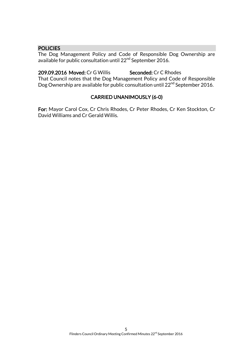### **POLICIES**

The Dog Management Policy and Code of Responsible Dog Ownership are available for public consultation until 22<sup>nd</sup> September 2016.

209.09.2016 Moved: Cr G Willis Seconded: Cr C Rhodes That Council notes that the Dog Management Policy and Code of Responsible Dog Ownership are available for public consultation until 22<sup>nd</sup> September 2016.

# CARRIED UNANIMOUSLY (6-0)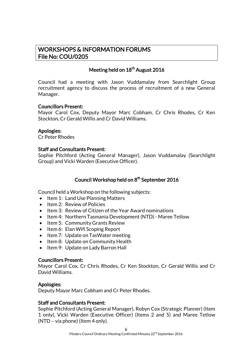# WORKSHOPS & INFORMATION FORUMS File No: COU/0205

# Meeting held on 18<sup>th</sup> August 2016

Council had a meeting with Jason Vuddamalay from Searchlight Group recruitment agency to discuss the process of recruitment of a new General Manager.

# Councillors Present:

Mayor Carol Cox, Deputy Mayor Marc Cobham, Cr Chris Rhodes, Cr Ken Stockton, Cr Gerald Willis and Cr David Williams.

# Apologies:

Cr Peter Rhodes

# Staff and Consultants Present:

Sophie Pitchford (Acting General Manager), Jason Vuddamalay (Searchlight Group) and Vicki Warden (Executive Officer).

# Council Workshop held on 8<sup>th</sup> September 2016

Council held a Workshop on the following subjects:

- Item 1: Land Use Planning Matters
- Item 2: Review of Policies
- Item 3: Review of Citizen of the Year Award nominations
- Item 4: Northern Tasmania Development (NTD) Maree Tetlow
- Item 5: Community Grants Review
- Item 6: Elan Wifi Scoping Report
- Item 7: Update on TasWater meeting
- Item 8: Update on Community Health
- Item 9: Update on Lady Barron Hall

#### Councillors Present:

Mayor Carol Cox, Cr Chris Rhodes, Cr Ken Stockton, Cr Gerald Willis and Cr David Williams.

# Apologies:

Deputy Mayor Marc Cobham and Cr Peter Rhodes.

# Staff and Consultants Present:

Sophie Pitchford (Acting General Manager), Robyn Cox (Strategic Planner) (Item 1 only), Vicki Warden (Executive Officer) (Items 2 and 5) and Maree Tetlow (NTD – via phone) (Item 4 only).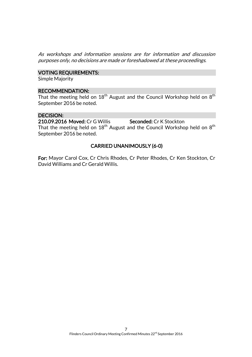As workshops and information sessions are for information and discussion purposes only, no decisions are made or foreshadowed at these proceedings.

# VOTING REQUIREMENTS:

Simple Majority

#### RECOMMENDATION:

That the meeting held on  $18^{\mathsf{th}}$  August and the Council Workshop held on  $8^{\mathsf{th}}$ September 2016 be noted.

#### DECISION:

210.09.2016 Moved: Cr G Willis Seconded: Cr K Stockton That the meeting held on  $18^{\mathsf{th}}$  August and the Council Workshop held on  $8^{\mathsf{th}}$ September 2016 be noted.

# CARRIED UNANIMOUSLY (6-0)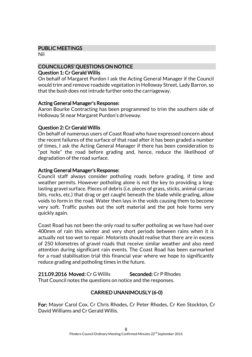# PUBLIC MEETINGS

Nil

# COUNCILLORS' QUESTIONS ON NOTICE

#### Question 1: Cr Gerald Willis

On behalf of Margaret Purdon I ask the Acting General Manager if the Council would trim and remove roadside vegetation in Holloway Street, Lady Barron, so that the bush does not intrude further onto the carriageway.

# Acting General Manager's Response:

Aaron Bourke Contracting has been programmed to trim the southern side of Holloway St near Margaret Purdon's driveway.

# Question 2: Cr Gerald Willis

On behalf of numerous users of Coast Road who have expressed concern about the recent failures of the surface of that road after it has been graded a number of times, I ask the Acting General Manager if there has been consideration to "pot hole" the road before grading and, hence, reduce the likelihood of degradation of the road surface.

# Acting General Manager's Response:

Council staff always consider potholing roads before grading, if time and weather permits. However potholing alone is not the key to providing a longlasting gravel surface. Pieces of debris (i.e. pieces of grass, sticks, animal carcass bits, rocks, etc.) that drag or get caught beneath the blade while grading, allow voids to form in the road. Water then lays in the voids causing them to become very soft. Traffic pushes out the soft material and the pot hole forms very quickly again.

Coast Road has not been the only road to suffer potholing as we have had over 400mm of rain this winter and very short periods between rains when it is actually not too wet to repair. Motorists should realise that there are in excess of 250 kilometres of gravel roads that receive similar weather and also need attention during significant rain events. The Coast Road has been earmarked for a road stabilisation trial this financial year where we hope to significantly reduce grading and potholing times in the future.

211.09.2016 Moved: Cr G Willis Seconded: Cr P Rhodes That Council notes the questions on notice and the responses.

# CARRIED UNANIMOUSLY (6-0)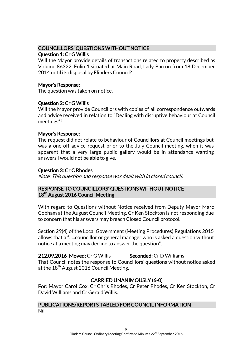# COUNCILLORS' QUESTIONS WITHOUT NOTICE

# Question 1: Cr G Willis

Will the Mayor provide details of transactions related to property described as Volume 86322, Folio 1 situated at Main Road, Lady Barron from 18 December 2014 until its disposal by Flinders Council?

# Mayor's Response:

The question was taken on notice.

# Question 2: Cr G Willis

Will the Mayor provide Councillors with copies of all correspondence outwards and advice received in relation to "Dealing with disruptive behaviour at Council meetings"?

# Mayor's Response:

The request did not relate to behaviour of Councillors at Council meetings but was a one-off advice request prior to the July Council meeting, when it was apparent that a very large public gallery would be in attendance wanting answers I would not be able to give.

# Question 3: Cr C Rhodes

Note: This question and response was dealt with in closed council.

# RESPONSE TO COUNCILLORS' QUESTIONS WITHOUT NOTICE 18<sup>th</sup> August 2016 Council Meeting

With regard to Questions without Notice received from Deputy Mayor Marc Cobham at the August Council Meeting, Cr Ken Stockton is not responding due to concern that his answers may breach Closed Council protocol.

Section 29(4) of the Local Government (Meeting Procedures) Regulations 2015 allows that a "…..councillor or general manager who is asked a question without notice at a meeting may decline to answer the question".

212.09.2016 Moved: Cr G Willis Seconded: Cr D Williams That Council notes the response to Councillors' questions without notice asked at the  $18^{th}$  August 2016 Council Meeting.

# CARRIED UNANIMOUSLY (6-0)

For: Mayor Carol Cox, Cr Chris Rhodes, Cr Peter Rhodes, Cr Ken Stockton, Cr David Williams and Cr Gerald Willis.

#### PUBLICATIONS/REPORTS TABLED FOR COUNCIL INFORMATION Nil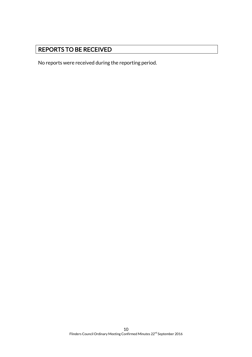# REPORTS TO BE RECEIVED

No reports were received during the reporting period.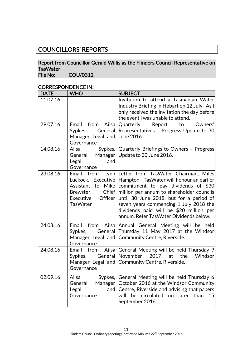# COUNCILLORS' REPORTS

# Report from Councillor Gerald Willis as the Flinders Council Representative on TasWater<br>File No:

COU/0312

# CORRESPONDENCE IN:

| <b>DATE</b> | <b>WHO</b>                                                                                                                              | <b>SUBJECT</b>                                                                                                                                                                                                                                                                                                                                        |
|-------------|-----------------------------------------------------------------------------------------------------------------------------------------|-------------------------------------------------------------------------------------------------------------------------------------------------------------------------------------------------------------------------------------------------------------------------------------------------------------------------------------------------------|
| 11.07.16    |                                                                                                                                         | Invitation to attend a Tasmanian Water<br>Industry Briefing in Hobart on 12 July. As I<br>only received the invitation the day before<br>the event I was unable to attend.                                                                                                                                                                            |
| 29.07.16    | from<br>Ailsa<br>Email<br>General<br>Sypkes,<br>Manager Legal and<br>Governance                                                         | Owners'<br>Quarterly<br>Report<br>to<br>Representatives - Progress Update to 30<br>June 2016.                                                                                                                                                                                                                                                         |
| 14.08.16    | Ailsa<br>Sypkes,<br>Manager<br>General<br>Legal<br>and<br>Governance                                                                    | Quarterly Briefings to Owners - Progress<br>Update to 30 June 2016.                                                                                                                                                                                                                                                                                   |
| 23.08.16    | Email from<br>Luckock, Executive<br><b>Mike</b><br>Assistant to<br><b>Chief</b><br>Brewster,<br>Executive<br>Officer<br><b>TasWater</b> | Lynn Letter from TasWater Chairman, Miles<br>Hampton - TasWater will honour an earlier<br>commitment to pay dividends of $$30$<br>million per annum to shareholder councils<br>until 30 June 2018, but for a period of<br>seven years commencing 1 July 2018 the<br>dividends paid will be \$20 million per<br>annum. Refer TasWater Dividends below. |
| 24.08.16    | Ailsa<br>Email<br>from<br>General<br>Sypkes,<br>Manager Legal and<br>Governance                                                         | Annual General Meeting will be held<br>Thursday 11 May 2017 at the Windsor<br>Community Centre, Riverside.                                                                                                                                                                                                                                            |
| 24.08.16    | Ailsa<br>Email<br>from<br>General<br>Sypkes,<br>Manager Legal and<br>Governance                                                         | General Meeting will be held Thursday 9<br>2017<br>the<br>Windsor<br>November<br>at<br>Community Centre, Riverside.                                                                                                                                                                                                                                   |
| 02.09.16    | Ailsa<br>Sypkes,<br>Manager<br>General<br>Legal<br>and<br>Governance                                                                    | General Meeting will be held Thursday 6<br>October 2016 at the Windsor Community<br>Centre, Riverside and advising that papers<br>will be circulated no later than<br>15<br>September 2016.                                                                                                                                                           |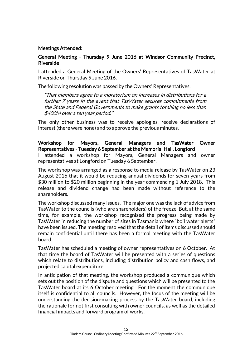# Meetings Attended:

# General Meeting - Thursday 9 June 2016 at Windsor Community Precinct, Riverside

I attended a General Meeting of the Owners' Representatives of TasWater at Riverside on Thursday 9 June 2016.

The following resolution was passed by the Owners' Representatives.

"That members agree to a moratorium on increases in distributions for a further 7 years in the event that TasWater secures commitments from the State and Federal Governments to make grants totalling no less than \$400M over a ten year period."

The only other business was to receive apologies, receive declarations of interest (there were none) and to approve the previous minutes.

Workshop for Mayors, General Managers and TasWater Owner Representatives - Tuesday 6 September at the Memorial Hall, Longford I attended a workshop for Mayors, General Managers and owner representatives at Longford on Tuesday 6 September.

The workshop was arranged as a response to media release by TasWater on 23 August 2016 that it would be reducing annual dividends for seven years from \$30 million to \$20 million beginning in the year commencing 1 July 2018. This release and dividend change had been made without reference to the shareholders.

The workshop discussed many issues. The major one was the lack of advice from TasWater to the councils (who are shareholders) of the freeze. But, at the same time, for example, the workshop recognised the progress being made by TasWater in reducing the number of sites in Tasmania where "boil water alerts" have been issued. The meeting resolved that the detail of items discussed should remain confidential until there has been a formal meeting with the TasWater board.

TasWater has scheduled a meeting of owner representatives on 6 October. At that time the board of TasWater will be presented with a series of questions which relate to distributions, including distribution policy and cash flows, and projected capital expenditure.

In anticipation of that meeting, the workshop produced a communique which sets out the position of the dispute and questions which will be presented to the TasWater board at its 6 October meeting. For the moment the communique itself is confidential to all councils. However, the focus of the meeting will be understanding the decision-making process by the TasWater board, including the rationale for not first consulting with owner councils, as well as the detailed financial impacts and forward program of works.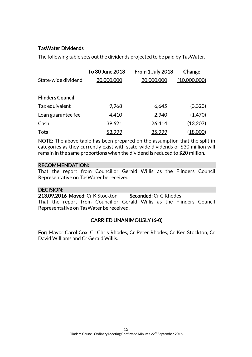# TasWater Dividends

The following table sets out the dividends projected to be paid by TasWater.

|                         | To 30 June 2018 | From 1 July 2018 | Change       |
|-------------------------|-----------------|------------------|--------------|
| State-wide dividend     | 30,000,000      | 20,000,000       | (10,000,000) |
|                         |                 |                  |              |
| <b>Flinders Council</b> |                 |                  |              |
| Tax equivalent          | 9,968           | 6,645            | (3,323)      |
| Loan guarantee fee      | 4,410           | 2,940            | (1,470)      |
| Cash                    | 39,621          | 26,414           | (13,207)     |
| Total                   | 53,999          | 35,999           | (18,000)     |

NOTE: The above table has been prepared on the assumption that the split in categories as they currently exist with state-wide dividends of \$30 million will remain in the same proportions when the dividend is reduced to \$20 million.

# RECOMMENDATION:

That the report from Councillor Gerald Willis as the Flinders Council Representative on TasWater be received.

# DECISION:

213.09.2016 Moved: Cr K Stockton Seconded: Cr C Rhodes That the report from Councillor Gerald Willis as the Flinders Council Representative on TasWater be received.

# CARRIED UNANIMOUSLY (6-0)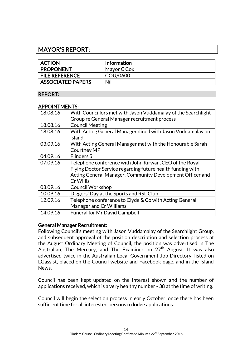# MAYOR'S REPORT:

| <b>ACTION</b>            | <b>Information</b> |
|--------------------------|--------------------|
| <b>PROPONENT</b>         | Mayor C Cox        |
| <b>FILE REFERENCE</b>    | COU/0600           |
| <b>ASSOCIATED PAPERS</b> | Nil                |

# REPORT:

#### APPOINTMENTS:

| 18.08.16 | With Councillors met with Jason Vuddamalay of the Searchlight |
|----------|---------------------------------------------------------------|
|          | Group re General Manager recruitment process                  |
| 18.08.16 | <b>Council Meeting</b>                                        |
| 18.08.16 | With Acting General Manager dined with Jason Vuddamalay on    |
|          | island.                                                       |
| 03.09.16 | With Acting General Manager met with the Honourable Sarah     |
|          | <b>Courtney MP</b>                                            |
| 04.09.16 | Flinders 5                                                    |
| 07.09.16 | Telephone conference with John Kirwan, CEO of the Royal       |
|          | Flying Doctor Service regarding future health funding with    |
|          | Acting General Manager, Community Development Officer and     |
|          | Cr Willis                                                     |
| 08.09.16 | <b>Council Workshop</b>                                       |
| 10.09.16 | Diggers' Day at the Sports and RSL Club                       |
| 12.09.16 | Telephone conference to Clyde & Co with Acting General        |
|          | <b>Manager and Cr Williams</b>                                |
| 14.09.16 | <b>Funeral for Mr David Campbell</b>                          |

#### General Manager Recruitment:

Following Council's meeting with Jason Vuddamalay of the Searchlight Group, and subsequent approval of the position description and selection process at the August Ordinary Meeting of Council, the position was advertised in The Australian, The Mercury, and The Examiner on  $27<sup>th</sup>$  August. It was also advertised twice in the Australian Local Government Job Directory, listed on LGassist, placed on the Council website and Facebook page, and in the Island News.

Council has been kept updated on the interest shown and the number of applications received, which is a very healthy number - 38 at the time of writing.

Council will begin the selection process in early October, once there has been sufficient time for all interested persons to lodge applications.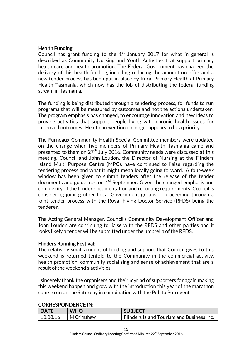# Health Funding:

Council has grant funding to the  $1<sup>st</sup>$  January 2017 for what in general is described as Community Nursing and Youth Activities that support primary health care and health promotion. The Federal Government has changed the delivery of this health funding, including reducing the amount on offer and a new tender process has been put in place by Rural Primary Health at Primary Health Tasmania, which now has the job of distributing the federal funding stream in Tasmania.

The funding is being distributed through a tendering process, for funds to run programs that will be measured by outcomes and not the actions undertaken. The program emphasis has changed, to encourage innovation and new ideas to provide activities that support people living with chronic health issues for improved outcomes. Health prevention no longer appears to be a priority.

The Furneaux Community Health Special Committee members were updated on the change when five members of Primary Health Tasmania came and presented to them on  $27<sup>th</sup>$  July 2016. Community needs were discussed at this meeting. Council and John Loudon, the Director of Nursing at the Flinders Island Multi Purpose Centre (MPC), have continued to liaise regarding the tendering process and what it might mean locally going forward. A four-week window has been given to submit tenders after the release of the tender documents and guidelines on  $1^\mathrm{st}$  September. Given the changed emphasis and complexity of the tender documentation and reporting requirements, Council is considering joining other Local Government groups in proceeding through a joint tender process with the Royal Flying Doctor Service (RFDS) being the tenderer.

The Acting General Manager, Council's Community Development Officer and John Loudon are continuing to liaise with the RFDS and other parties and it looks likely a tender will be submitted under the umbrella of the RFDS.

#### Flinders Running Festival:

The relatively small amount of funding and support that Council gives to this weekend is returned tenfold to the Community in the commercial activity, health promotion, community socialising and sense of achievement that are a result of the weekend's activities.

I sincerely thank the organisers and their myriad of supporters for again making this weekend happen and grow with the introduction this year of the marathon course run on the Saturday in combination with the Pub to Pub event.

#### CORRESPONDENCE IN:

| <b>DATE</b>          | <b>WHO</b> | <b>SUBJECT</b>                                   |
|----------------------|------------|--------------------------------------------------|
| $\frac{10.08.16}{ }$ | M Grimshaw | <b>Flinders Island Tourism and Business Inc.</b> |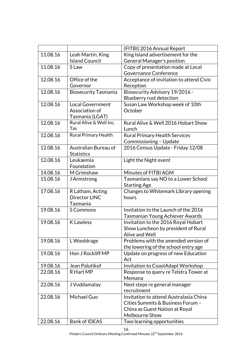|                      |                             | (FITBI) 2016 Annual Report                                 |
|----------------------|-----------------------------|------------------------------------------------------------|
| 11.08.16             | Leah Martin, King           | King Island advertisement for the                          |
|                      | <b>Island Council</b>       | General Manager's position                                 |
| 11.08.16             | S Law                       | Copy of presentation made at Local                         |
|                      |                             | <b>Governance Conference</b>                               |
| 12.08.16             | Office of the               | Acceptance of invitation to attend Civic                   |
|                      | Governor                    | Reception                                                  |
| 12.08.16             | <b>Biosecurity Tasmania</b> | Biosecurity Advisory 19/2016 -                             |
|                      |                             | Blueberry rust detection                                   |
| 12.08.16             | <b>Local Government</b>     | Susan Law Workshop week of 10th                            |
|                      | Association of              | October                                                    |
|                      | Tasmania (LGAT)             |                                                            |
| 12.08.16             | Rural Alive & Well Inc.     | Rural Alive & Well 2016 Hobart Show                        |
|                      | Tas                         | Lunch                                                      |
| 12.08.16             | Rural Primary Health        | <b>Rural Primary Health Services</b>                       |
|                      |                             | Commissioning - Update                                     |
| 12.08.16             | Australian Bureau of        | 2016 Census Update - Friday 12/08                          |
|                      | <b>Statistics</b>           |                                                            |
| 12.08.16             | Leukaemia                   | Light the Night event                                      |
|                      | Foundation                  |                                                            |
| 14.08.16<br>15.08.16 | M Grimshaw                  | Minutes of FITBI AGM                                       |
|                      | J Armstrong                 | Tasmanians say NO to a Lower School<br><b>Starting Age</b> |
| 17.08.16             | R Latham, Acting            | Changes to Whitemark Library opening                       |
|                      | Director LINC               | hours                                                      |
|                      | Tasmania                    |                                                            |
| 19.08.16             | S Commons                   | Invitation to the Launch of the 2016                       |
|                      |                             | <b>Tasmanian Young Achiever Awards</b>                     |
| 19.08.16             | <b>K</b> Lawless            | Invitation to the 2016 Royal Hobart                        |
|                      |                             | Show Luncheon by president of Rural                        |
|                      |                             | Alive and Well                                             |
| 19.08.16             | L Wooldrage                 | Problems with the amended version of                       |
|                      |                             | the lowering of the school entry age                       |
| 19.08.16             | Hon J Rockliff MP           | Update on progress of new Education                        |
|                      |                             | Act                                                        |
| 19.08.16             | Jean Palutikof              | Invitation to CoastAdapt Workshop                          |
| 22.08.16             | R Hart MP                   | Response to query re Telstra Tower at                      |
|                      |                             | Memana                                                     |
| 22.08.16             | J Vuddamalay                | Next steps re general manager                              |
|                      |                             | recruitment                                                |
| 22.08.16             | Michael Guo                 | Invitation to attend Australasia China                     |
|                      |                             | Cities Summits & Business Forum -                          |
|                      |                             | China as Guest Nation at Royal                             |
|                      |                             | <b>Melbourne Show</b>                                      |
| 22.08.16             | <b>Bank of IDEAS</b>        | Two learning opportunities                                 |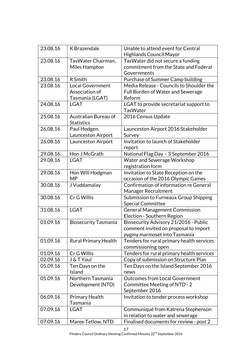| 23.08.16 | K Brazendale                              | Unable to attend event for Central<br><b>Highlands Council Mayor</b> |
|----------|-------------------------------------------|----------------------------------------------------------------------|
| 23.08.16 | TasWater Chairman,                        | Tas Water did not secure a funding                                   |
|          | Miles Hampton                             | commitment from the State and Federal                                |
|          |                                           | Governments                                                          |
| 23.08.16 | R Smith                                   | Purchase of Summer Camp building                                     |
| 23.08.16 | Local Government                          | Media Release - Councils to Shoulder the                             |
|          | Association of                            | Full Burden of Water and Sewerage                                    |
|          | Tasmania (LGAT)                           | Reform                                                               |
| 24.08.16 | <b>LGAT</b>                               | LGAT to provide secretariat support to<br><b>TasWater</b>            |
| 25.08.16 | Australian Bureau of<br><b>Statistics</b> | 2016 Census Update                                                   |
| 26.08.16 | Paul Hodgen,                              | Launceston Airport 2016 Stakeholder                                  |
|          | <b>Launceston Airport</b>                 | Survey                                                               |
| 26.08.16 | Launceston Airport                        | Invitation to launch of Stakeholder<br>report                        |
| 29.08.16 | Hon J McGrath                             | National Flag Day - 3 September 2016                                 |
| 29.08.16 | <b>LGAT</b>                               | Water and Sewerage Workshop                                          |
|          |                                           | registration form                                                    |
| 29.08.16 | Hon Will Hodgman                          | Invitation to State Reception on the                                 |
|          | MP                                        | occasion of the 2016 Olympic Games                                   |
| 30.08.16 | J Vuddamalay                              | Confirmation of information re General                               |
|          |                                           | Manager Recruitment                                                  |
| 30.08.16 | Cr G Willis                               | Submission to Furneaux Group Shipping                                |
|          |                                           | <b>Special Committee</b>                                             |
| 31.08.16 | <b>LGAT</b>                               | <b>General Management Commission</b>                                 |
|          |                                           | Election - Southern Region                                           |
| 01.09.16 | <b>Biosecurity Tasmania</b>               | Biosecurity Advisory 21/2016 - Public                                |
|          |                                           | comment invited on proposal to import                                |
|          |                                           | pygmy marmoset into Tasmania                                         |
| 01.09.16 | <b>Rural Primary Health</b>               | Tenders for rural primary health services<br>commissioning open      |
| 01.09.16 | Cr G Willis                               | Tenders for rural primary health services                            |
| 02.09.16 | J & T Youl                                | Copy of submission on Structure Plan                                 |
| 05.09.16 | Ten Days on the                           | Ten Days on the Island September 2016                                |
|          | Island                                    | news                                                                 |
| 05.09.16 | Northern Tasmania                         | <b>Outcomes from Local Government</b>                                |
|          | Development (NTD)                         | Committee Meeting of NTD - 2                                         |
|          |                                           | September 2016                                                       |
| 06.09.16 | <b>Primary Health</b>                     | Invitation to tender process workshop                                |
|          | Tasmania                                  |                                                                      |
| 07.09.16 | <b>LGAT</b>                               | Communiqué from Katrena Stephenson                                   |
|          |                                           | in relation to water and sewerage                                    |
| 07.09.16 | Maree Tetlow, NTD                         | Finalised documents for review - post 2                              |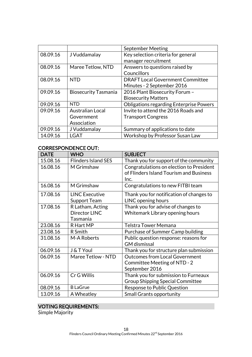|          |                             | <b>September Meeting</b>                       |
|----------|-----------------------------|------------------------------------------------|
| 08.09.16 | J Vuddamalay                | Key selection criteria for general             |
|          |                             | manager recruitment                            |
| 08.09.16 | Maree Tetlow, NTD           | Answers to questions raised by                 |
|          |                             | Councillors                                    |
| 08.09.16 | <b>NTD</b>                  | <b>DRAFT Local Government Committee</b>        |
|          |                             | Minutes - 2 September 2016                     |
| 09.09.16 | <b>Biosecurity Tasmania</b> | 2016 Plant Biosecurity Forum -                 |
|          |                             | <b>Biosecurity Matters</b>                     |
| 09.09.16 | <b>NTD</b>                  | <b>Obligations regarding Enterprise Powers</b> |
| 09.09.16 | <b>Australian Local</b>     | Invite to attend the 2016 Roads and            |
|          | Government                  | <b>Transport Congress</b>                      |
|          | Association                 |                                                |
| 09.09.16 | J Vuddamalay                | Summary of applications to date                |
| 14.09.16 | <b>LGAT</b>                 | Workshop by Professor Susan Law                |

# CORRESPONDENCE OUT:

| <b>DATE</b> | <b>WHO</b>                                    | <b>SUBJECT</b>                                                                              |
|-------------|-----------------------------------------------|---------------------------------------------------------------------------------------------|
| 15.08.16    | <b>Flinders Island SES</b>                    | Thank you for support of the community                                                      |
| 16.08.16    | M Grimshaw                                    | Congratulations on election to President<br>of Flinders Island Tourism and Business<br>Inc. |
| 16.08.16    | M Grimshaw                                    | Congratulations to new FITBI team                                                           |
| 17.08.16    | <b>LINC Executive</b><br><b>Support Team</b>  | Thank you for notification of changes to<br>LINC opening hours                              |
| 17.08.16    | R Latham, Acting<br>Director LINC<br>Tasmania | Thank you for advise of changes to<br>Whitemark Library opening hours                       |
| 23.08.16    | R Hart MP                                     | <b>Telstra Tower Memana</b>                                                                 |
| 23.08.16    | R Smith                                       | Purchase of Summer Camp building                                                            |
| 31.08.16    | M-A Roberts                                   | Public question response: reasons for<br><b>GM</b> dismissal                                |
| 06.09.16    | J & T Youl                                    | Thank you for structure plan submission                                                     |
| 06.09.16    | Maree Tetlow - NTD                            | <b>Outcomes from Local Government</b><br>Committee Meeting of NTD - 2<br>September 2016     |
| 06.09.16    | Cr G Willis                                   | Thank you for submission to Furneaux<br><b>Group Shipping Special Committee</b>             |
| 08.09.16    | <b>B LaGrue</b>                               | Response to Public Question                                                                 |
| 13.09.16    | A Wheatley                                    | <b>Small Grants opportunity</b>                                                             |

# VOTING REQUIREMENTS:

Simple Majority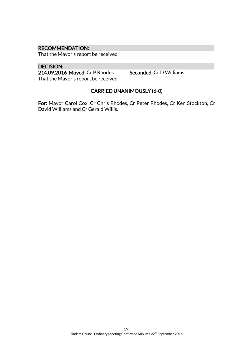# RECOMMENDATION:

That the Mayor's report be received.

#### DECISION:

214.09.2016 Moved: Cr P Rhodes Seconded: Cr D Williams That the Mayor's report be received.

# CARRIED UNANIMOUSLY (6-0)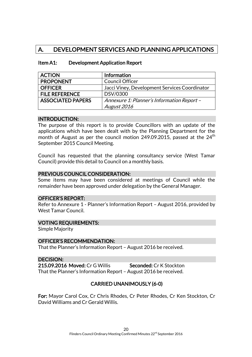# A. DEVELOPMENT SERVICES AND PLANNING APPLICATIONS

#### Item A1: Development Application Report

| <b>ACTION</b>            | <b>Information</b>                            |
|--------------------------|-----------------------------------------------|
| <b>PROPONENT</b>         | <b>Council Officer</b>                        |
| <b>OFFICER</b>           | Jacci Viney, Development Services Coordinator |
| <b>FILE REFERENCE</b>    | DSV/0300                                      |
| <b>ASSOCIATED PAPERS</b> | Annexure 1: Planner's Information Report -    |
|                          | August 2016                                   |

#### INTRODUCTION:

The purpose of this report is to provide Councillors with an update of the applications which have been dealt with by the Planning Department for the month of August as per the council motion 249.09.2015, passed at the  $24<sup>th</sup>$ September 2015 Council Meeting.

Council has requested that the planning consultancy service (West Tamar Council) provide this detail to Council on a monthly basis.

#### PREVIOUS COUNCIL CONSIDERATION:

Some items may have been considered at meetings of Council while the remainder have been approved under delegation by the General Manager.

#### OFFICER'S REPORT:

Refer to Annexure 1 - Planner's Information Report – August 2016, provided by West Tamar Council.

#### VOTING REQUIREMENTS:

Simple Majority

#### OFFICER'S RECOMMENDATION:

That the Planner's Information Report – August 2016 be received.

#### DECISION:

215.09.2016 Moved: Cr G Willis Seconded: Cr K Stockton That the Planner's Information Report – August 2016 be received.

#### CARRIED UNANIMOUSLY (6-0)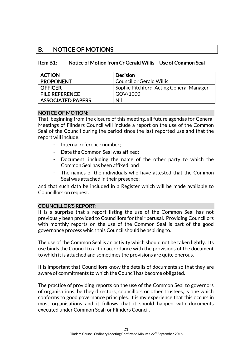# B. NOTICE OF MOTIONS

# Item B1: Notice of Motion from Cr Gerald Willis – Use of Common Seal

| <b>ACTION</b>            | <b>Decision</b>                          |
|--------------------------|------------------------------------------|
| <b>PROPONENT</b>         | <b>Councillor Gerald Willis</b>          |
| <b>OFFICER</b>           | Sophie Pitchford, Acting General Manager |
| <b>FILE REFERENCE</b>    | GOV/1000                                 |
| <b>ASSOCIATED PAPERS</b> | Nil                                      |

#### NOTICE OF MOTION:

That, beginning from the closure of this meeting, all future agendas for General Meetings of Flinders Council will include a report on the use of the Common Seal of the Council during the period since the last reported use and that the report will include:

- Internal reference number;
- Date the Common Seal was affixed:
- Document, including the name of the other party to which the Common Seal has been affixed; and
- The names of the individuals who have attested that the Common Seal was attached in their presence;

and that such data be included in a Register which will be made available to Councillors on request.

# COUNCILLOR'S REPORT:

It is a surprise that a report listing the use of the Common Seal has not previously been provided to Councillors for their perusal. Providing Councillors with monthly reports on the use of the Common Seal is part of the good governance process which this Council should be aspiring to.

The use of the Common Seal is an activity which should not be taken lightly. Its use binds the Council to act in accordance with the provisions of the document to which it is attached and sometimes the provisions are quite onerous.

It is important that Councillors know the details of documents so that they are aware of commitments to which the Council has become obligated.

The practice of providing reports on the use of the Common Seal to governors of organisations, be they directors, councillors or other trustees, is one which conforms to good governance principles. It is my experience that this occurs in most organisations and it follows that it should happen with documents executed under Common Seal for Flinders Council.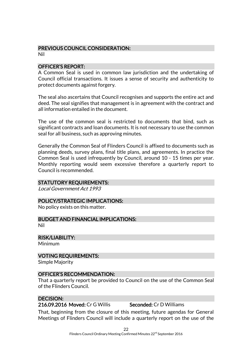# PREVIOUS COUNCIL CONSIDERATION:

Nil

# OFFICER'S REPORT:

A Common Seal is used in common law jurisdiction and the undertaking of Council official transactions. It issues a sense of security and authenticity to protect documents against forgery.

The seal also ascertains that Council recognises and supports the entire act and deed. The seal signifies that management is in agreement with the contract and all information entailed in the document.

The use of the common seal is restricted to documents that bind, such as significant contracts and loan documents. It is not necessary to use the common seal for all business, such as approving minutes.

Generally the Common Seal of Flinders Council is affixed to documents such as planning deeds, survey plans, final title plans, and agreements. In practice the Common Seal is used infrequently by Council, around 10 - 15 times per year. Monthly reporting would seem excessive therefore a quarterly report to Council is recommended.

#### STATUTORY REQUIREMENTS:

Local Government Act 1993

#### POLICY/STRATEGIC IMPLICATIONS:

No policy exists on this matter.

BUDGET AND FINANCIAL IMPLICATIONS: Nil

RISK/LIABILITY:

Minimum

# VOTING REQUIREMENTS:

Simple Majority

# OFFICER'S RECOMMENDATION:

That a quarterly report be provided to Council on the use of the Common Seal of the Flinders Council.

# DECISION:

#### 216.09.2016 Moved: Cr G Willis Seconded: Cr D Williams

That, beginning from the closure of this meeting, future agendas for General Meetings of Flinders Council will include a quarterly report on the use of the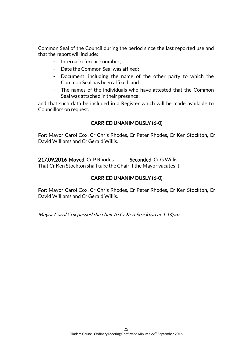Common Seal of the Council during the period since the last reported use and that the report will include:

- Internal reference number;
- Date the Common Seal was affixed;
- Document, including the name of the other party to which the Common Seal has been affixed; and
- The names of the individuals who have attested that the Common Seal was attached in their presence;

and that such data be included in a Register which will be made available to Councillors on request.

# CARRIED UNANIMOUSLY (6-0)

For: Mayor Carol Cox, Cr Chris Rhodes, Cr Peter Rhodes, Cr Ken Stockton, Cr David Williams and Cr Gerald Willis.

217.09.2016 Moved: Cr P Rhodes Seconded: Cr G Willis

That Cr Ken Stockton shall take the Chair if the Mayor vacates it.

# CARRIED UNANIMOUSLY (6-0)

For: Mayor Carol Cox, Cr Chris Rhodes, Cr Peter Rhodes, Cr Ken Stockton, Cr David Williams and Cr Gerald Willis.

Mayor Carol Cox passed the chair to Cr Ken Stockton at 1.14pm.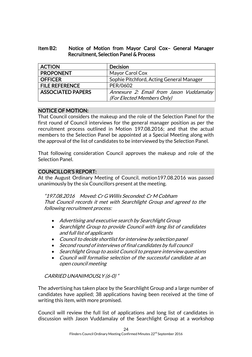# Item B2: Notice of Motion from Mayor Carol Cox– General Manager Recruitment, Selection Panel & Process

| <b>ACTION</b>            | <b>Decision</b>                          |
|--------------------------|------------------------------------------|
| <b>PROPONENT</b>         | Mayor Carol Cox                          |
| <b>OFFICER</b>           | Sophie Pitchford, Acting General Manager |
| <b>FILE REFERENCE</b>    | PER/0602                                 |
| <b>ASSOCIATED PAPERS</b> | Annexure 2: Email from Jason Vuddamalay  |
|                          | (For Elected Members Only)               |

# NOTICE OF MOTION:

That Council considers the makeup and the role of the Selection Panel for the first round of Council interviews for the general manager position as per the recruitment process outlined in Motion 197.08.2016; and that the actual members to the Selection Panel be appointed at a Special Meeting along with the approval of the list of candidates to be interviewed by the Selection Panel.

That following consideration Council approves the makeup and role of the Selection Panel.

# COUNCILLOR'S REPORT:

At the August Ordinary Meeting of Council, motion197.08.2016 was passed unanimously by the six Councillors present at the meeting.

"197.08.2016 Moved: Cr G Willis Seconded: Cr M Cobham That Council records it met with Searchlight Group and agreed to the following recruitment process:

- Advertising and executive search by Searchlight Group
- Searchlight Group to provide Council with long list of candidates and full list of applicants
- Council to decide shortlist for interview by selection panel
- Second round of interviews of final candidates by full council
- Searchlight Group to assist Council to prepare interview questions
- Council will formalise selection of the successful candidate at an open council meeting

# CARRIED UNANIMOUSLY (6-0) "

The advertising has taken place by the Searchlight Group and a large number of candidates have applied; 38 applications having been received at the time of writing this item, with more promised.

Council will review the full list of applications and long list of candidates in discussion with Jason Vuddamalay of the Searchlight Group at a workshop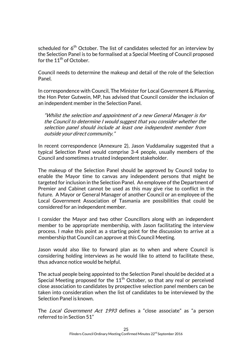scheduled for  $6<sup>th</sup>$  October. The list of candidates selected for an interview by the Selection Panel is to be formalised at a Special Meeting of Council proposed for the  $11<sup>th</sup>$  of October.

Council needs to determine the makeup and detail of the role of the Selection Panel.

In correspondence with Council, The Minister for Local Government & Planning, the Hon Peter Gutwein, MP, has advised that Council consider the inclusion of an independent member in the Selection Panel.

"Whilst the selection and appointment of a new General Manager is for the Council to determine I would suggest that you consider whether the selection panel should include at least one independent member from outside your direct community."

In recent correspondence (Annexure 2), Jason Vuddamalay suggested that a typical Selection Panel would comprise 3-4 people, usually members of the Council and sometimes a trusted independent stakeholder.

The makeup of the Selection Panel should be approved by Council today to enable the Mayor time to canvas any independent persons that might be targeted for inclusion in the Selection Panel. An employee of the Department of Premier and Cabinet cannot be used as this may give rise to conflict in the future. A Mayor or General Manager of another Council or an employee of the Local Government Association of Tasmania are possibilities that could be considered for an independent member.

I consider the Mayor and two other Councillors along with an independent member to be appropriate membership, with Jason facilitating the interview process. I make this point as a starting point for the discussion to arrive at a membership that Council can approve at this Council Meeting.

Jason would also like to forward plan as to when and where Council is considering holding interviews as he would like to attend to facilitate these, thus advance notice would be helpful.

The actual people being appointed to the Selection Panel should be decided at a Special Meeting proposed for the 11<sup>th</sup> October, so that any real or perceived close association to candidates by prospective selection panel members can be taken into consideration when the list of candidates to be interviewed by the Selection Panel is known.

The Local Government Act 1993 defines a "close associate" as "a person referred to in Section 51"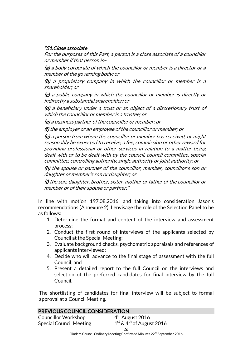# "51. Close associate

For the purposes of this Part, a person is a close associate of a councillor or member if that person is–

(a) a body corporate of which the councillor or member is a director or a member of the governing body; or

(b) a proprietary company in which the councillor or member is a shareholder; or

(c) a public company in which the councillor or member is directly or indirectly a substantial shareholder; or

(d) a beneficiary under a trust or an object of a discretionary trust of which the councillor or member is a trustee; or

(e) a business partner of the councillor or member; or

(f) the employer or an employee of the councillor or member; or

 $(g)$  a person from whom the councillor or member has received, or might reasonably be expected to receive, a fee, commission or other reward for providing professional or other services in relation to a matter being dealt with or to be dealt with by the council, council committee, special committee, controlling authority, single authority or joint authority; or

(h) the spouse or partner of the councillor, member, councillor's son or daughter or member's son or daughter; or

(i) the son, daughter, brother, sister, mother or father of the councillor or member or of their spouse or partner."

In line with motion 197.08.2016, and taking into consideration Jason's recommendations (Annexure 2), I envisage the role of the Selection Panel to be as follows:

- 1. Determine the format and content of the interview and assessment process;
- 2. Conduct the first round of interviews of the applicants selected by Council at the Special Meeting;
- 3. Evaluate background checks, psychometric appraisals and references of applicants interviewed;
- 4. Decide who will advance to the final stage of assessment with the full Council; and
- 5. Present a detailed report to the full Council on the interviews and selection of the preferred candidates for final interview by the full Council.

The shortlisting of candidates for final interview will be subject to formal approval at a Council Meeting.

| <b>PREVIOUS COUNCIL CONSIDERATION:</b> |                                                                                     |  |
|----------------------------------------|-------------------------------------------------------------------------------------|--|
| <b>Councillor Workshop</b>             | 4 <sup>th</sup> August 2016                                                         |  |
| <b>Special Council Meeting</b>         | $1st$ & 4 <sup>th</sup> of August 2016                                              |  |
|                                        | 26                                                                                  |  |
|                                        | Flinders Council Ordinary Meeting Confirmed Minutes 22 <sup>nd</sup> September 2016 |  |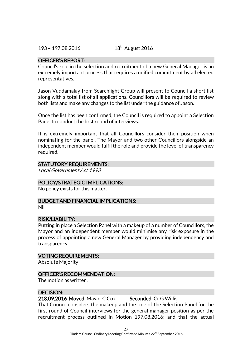### OFFICER'S REPORT:

Council's role in the selection and recruitment of a new General Manager is an extremely important process that requires a unified commitment by all elected representatives.

Jason Vuddamalay from Searchlight Group will present to Council a short list along with a total list of all applications. Councillors will be required to review both lists and make any changes to the list under the guidance of Jason.

Once the list has been confirmed, the Council is required to appoint a Selection Panel to conduct the first round of interviews.

It is extremely important that all Councillors consider their position when nominating for the panel. The Mayor and two other Councillors alongside an independent member would fulfil the role and provide the level of transparency required.

#### STATUTORY REQUIREMENTS:

Local Government Act 1993

#### POLICY/STRATEGIC IMPLICATIONS:

No policy exists for this matter.

#### BUDGET AND FINANCIAL IMPLICATIONS:

Nil

#### RISK/LIABILITY:

Putting in place a Selection Panel with a makeup of a number of Councillors, the Mayor and an independent member would minimise any risk exposure in the process of appointing a new General Manager by providing independency and transparency.

#### VOTING REQUIREMENTS:

Absolute Majority

#### OFFICER'S RECOMMENDATION:

The motion as written.

#### DECISION:

218.09.2016 Moved: Mayor C Cox Seconded: Cr G Willis

That Council considers the makeup and the role of the Selection Panel for the first round of Council interviews for the general manager position as per the recruitment process outlined in Motion 197.08.2016; and that the actual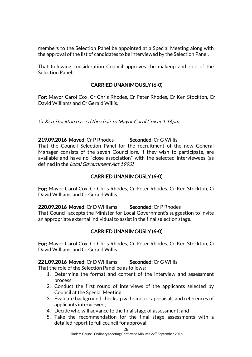members to the Selection Panel be appointed at a Special Meeting along with the approval of the list of candidates to be interviewed by the Selection Panel.

That following consideration Council approves the makeup and role of the Selection Panel.

# CARRIED UNANIMOUSLY (6-0)

For: Mayor Carol Cox, Cr Chris Rhodes, Cr Peter Rhodes, Cr Ken Stockton, Cr David Williams and Cr Gerald Willis.

Cr Ken Stockton passed the chair to Mayor Carol Cox at 1.16pm.

219.09.2016 Moved: Cr P Rhodes Seconded: Cr G Willis That the Council Selection Panel for the recruitment of the new General Manager consists of the seven Councillors, if they wish to participate, are available and have no "close association" with the selected interviewees (as defined in the Local Government Act 1993).

# CARRIED UNANIMOUSLY (6-0)

For: Mayor Carol Cox, Cr Chris Rhodes, Cr Peter Rhodes, Cr Ken Stockton, Cr David Williams and Cr Gerald Willis.

220.09.2016 Moved: Cr D Williams Seconded: Cr P Rhodes

That Council accepts the Minister for Local Government's suggestion to invite an appropriate external individual to assist in the final selection stage.

# CARRIED UNANIMOUSLY (6-0)

For: Mayor Carol Cox, Cr Chris Rhodes, Cr Peter Rhodes, Cr Ken Stockton, Cr David Williams and Cr Gerald Willis.

221.09.2016 Moved: Cr D Williams Seconded: Cr G Willis

That the role of the Selection Panel be as follows:

- 1. Determine the format and content of the interview and assessment process;
- 2. Conduct the first round of interviews of the applicants selected by Council at the Special Meeting;
- 3. Evaluate background checks, psychometric appraisals and references of applicants interviewed;
- 4. Decide who will advance to the final stage of assessment; and
- 5. Take the recommendation for the final stage assessments with a detailed report to full council for approval.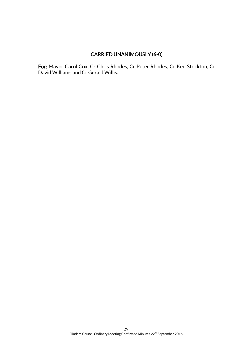# CARRIED UNANIMOUSLY (6-0)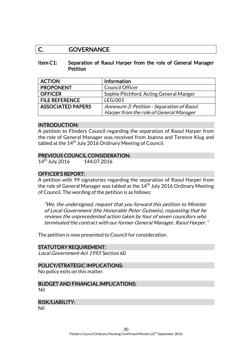# C. GOVERNANCE

#### Item C1: Separation of Raoul Harper from the role of General Manager **Petition**

| <b>ACTION</b>            | <b>Information</b>                         |
|--------------------------|--------------------------------------------|
| <b>PROPONENT</b>         | <b>Council Officer</b>                     |
| <b>OFFICER</b>           | Sophie Pitchford, Acting General Manger    |
| <b>FILE REFERENCE</b>    | <b>LEG/001</b>                             |
| <b>ASSOCIATED PAPERS</b> | Annexure 3: Petition - Separation of Raoul |
|                          | Harper from the role of General Manager    |

#### INTRODUCTION:

A petition to Flinders Council regarding the separation of Raoul Harper from the role of General Manager was received from Joanna and Terence Klug and tabled at the  $14<sup>th</sup>$  July 2016 Ordinary Meeting of Council.

#### PREVIOUS COUNCIL CONSIDERATION:

14<sup>th</sup> July 2016 144.07.2016

### OFFICER'S REPORT:

A petition with 99 signatories regarding the separation of Raoul Harper from the role of General Manager was tabled at the  $14<sup>th</sup>$  July 2016 Ordinary Meeting of Council. The wording of the petition is as follows:

"We, the undersigned, request that you forward this petition to Minister of Local Government (the Honorable Peter Gutwein), requesting that he reviews the unprecedented action taken by four of seven councilors who terminated the contract with our former General Manager, Raoul Harper."

The petition is now presented to Council for consideration.

#### STATUTORY REQUIREMENT:

Local Government Act 1993 Section 60

#### POLICY/STRATEGIC IMPLICATIONS:

No policy exits on this matter.

#### BUDGET AND FINANCIAL IMPLICATIONS: Nil

#### RISK/LIABILITY:

Nil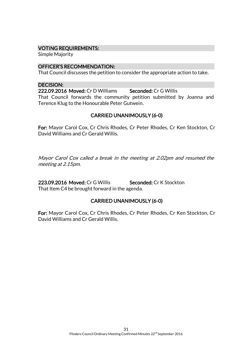### VOTING REQUIREMENTS:

Simple Majority

#### OFFICER'S RECOMMENDATION:

That Council discusses the petition to consider the appropriate action to take.

#### DECISION:

222.09.2016 Moved: Cr D Williams Seconded: Cr G Willis That Council forwards the community petition submitted by Joanna and Terence Klug to the Honourable Peter Gutwein.

# CARRIED UNANIMOUSLY (6-0)

For: Mayor Carol Cox, Cr Chris Rhodes, Cr Peter Rhodes, Cr Ken Stockton, Cr David Williams and Cr Gerald Willis.

Mayor Carol Cox called a break in the meeting at 2.02pm and resumed the meeting at 2.15pm.

223.09.2016 Moved: Cr G Willis Seconded: Cr K Stockton That Item C4 be brought forward in the agenda.

# CARRIED UNANIMOUSLY (6-0)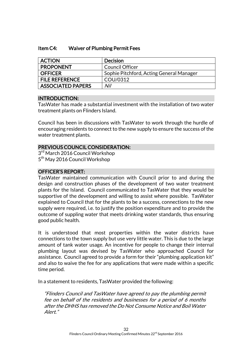### Item C4: Waiver of Plumbing Permit Fees

| <b>ACTION</b>            | <b>Decision</b>                          |
|--------------------------|------------------------------------------|
| <b>PROPONENT</b>         | <b>Council Officer</b>                   |
| <b>OFFICER</b>           | Sophie Pitchford, Acting General Manager |
| <b>FILE REFERENCE</b>    | COU/0312                                 |
| <b>ASSOCIATED PAPERS</b> | Nil                                      |

# INTRODUCTION:

TasWater has made a substantial investment with the installation of two water treatment plants on Flinders Island.

Council has been in discussions with TasWater to work through the hurdle of encouraging residents to connect to the new supply to ensure the success of the water treatment plants.

#### PREVIOUS COUNCIL CONSIDERATION:

3<sup>rd</sup> March 2016 Council Workshop 5<sup>th</sup> May 2016 Council Workshop

# OFFICER'S REPORT:

TasWater maintained communication with Council prior to and during the design and construction phases of the development of two water treatment plants for the Island. Council communicated to TasWater that they would be supportive of the development and willing to assist where possible. TasWater explained to Council that for the plants to be a success, connections to the new supply were required, i.e. to justify the position expenditure and to provide the outcome of suppling water that meets drinking water standards, thus ensuring good public health.

It is understood that most properties within the water districts have connections to the town supply but use very little water. This is due to the large amount of tank water usage. An incentive for people to change their internal plumbing layout was devised by TasWater who approached Council for assistance. Council agreed to provide a form for their "plumbing application kit" and also to waive the fee for any applications that were made within a specific time period.

In a statement to residents, TasWater provided the following:

"Flinders Council and TasWater have agreed to pay the plumbing permit fee on behalf of the residents and businesses for a period of 6 months after the DHHS has removed the Do Not Consume Notice and Boil Water Alert."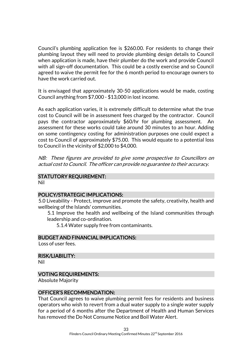Council's plumbing application fee is \$260.00. For residents to change their plumbing layout they will need to provide plumbing design details to Council when application is made, have their plumber do the work and provide Council with all sign-off documentation. This could be a costly exercise and so Council agreed to waive the permit fee for the 6 month period to encourage owners to have the work carried out.

It is envisaged that approximately 30-50 applications would be made, costing Council anything from \$7,000 - \$13,000 in lost income.

As each application varies, it is extremely difficult to determine what the true cost to Council will be in assessment fees charged by the contractor. Council pays the contractor approximately \$60/hr for plumbing assessment. An assessment for these works could take around 30 minutes to an hour. Adding on some contingency costing for administration purposes one could expect a cost to Council of approximately \$75.00. This would equate to a potential loss to Council in the vicinity of \$2,000 to \$4,000.

NB: These figures are provided to give some prospective to Councillors on actual cost to Council. The officer can provide no guarantee to their accuracy.

# STATUTORY REQUIREMENT:

Nil

#### POLICY/STRATEGIC IMPLICATIONS:

5.0 Liveability - Protect, improve and promote the safety, creativity, health and wellbeing of the Islands' communities.

5.1 Improve the health and wellbeing of the Island communities through leadership and co-ordination.

5.1.4 Water supply free from contaminants.

#### BUDGET AND FINANCIAL IMPLICATIONS:

Loss of user fees.

RISK/LIABILITY:

Nil

#### VOTING REQUIREMENTS:

Absolute Majority

#### OFFICER'S RECOMMENDATION:

That Council agrees to waive plumbing permit fees for residents and business operators who wish to revert from a dual water supply to a single water supply for a period of 6 months after the Department of Health and Human Services has removed the Do Not Consume Notice and Boil Water Alert.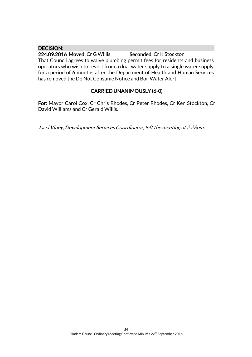# DECISION:

224.09.2016 Moved: Cr G Willis Seconded: Cr K Stockton That Council agrees to waive plumbing permit fees for residents and business operators who wish to revert from a dual water supply to a single water supply for a period of 6 months after the Department of Health and Human Services has removed the Do Not Consume Notice and Boil Water Alert.

# CARRIED UNANIMOUSLY (6-0)

For: Mayor Carol Cox, Cr Chris Rhodes, Cr Peter Rhodes, Cr Ken Stockton, Cr David Williams and Cr Gerald Willis.

Jacci Viney, Development Services Coordinator, left the meeting at 2.23pm.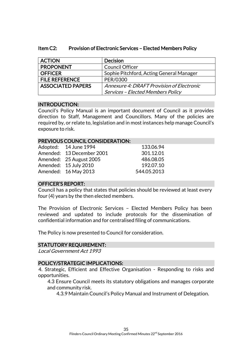| <b>ACTION</b>            | <b>Decision</b>                           |
|--------------------------|-------------------------------------------|
| <b>PROPONENT</b>         | <b>Council Officer</b>                    |
| <b>OFFICER</b>           | Sophie Pitchford, Acting General Manager  |
| <b>FILE REFERENCE</b>    | PER/0300                                  |
| <b>ASSOCIATED PAPERS</b> | Annexure 4: DRAFT Provision of Electronic |
|                          | <b>Services - Elected Members Policy</b>  |

# Item C2: Provision of Electronic Services – Elected Members Policy

# INTRODUCTION:

Council's Policy Manual is an important document of Council as it provides direction to Staff, Management and Councillors. Many of the policies are required by, or relate to, legislation and in most instances help manage Council's exposure to risk.

# PREVIOUS COUNCIL CONSIDERATION:

| Adopted: 14 June 1994     | 133.06.94   |
|---------------------------|-------------|
| Amended: 13 December 2001 | 301.12.01   |
| Amended: 25 August 2005   | 486.08.05   |
| Amended: 15 July 2010     | 192.07.10   |
| Amended: 16 May 2013      | 544.05.2013 |

# OFFICER'S REPORT:

Council has a policy that states that policies should be reviewed at least every four (4) years by the then elected members.

The Provision of Electronic Services – Elected Members Policy has been reviewed and updated to include protocols for the dissemination of confidential information and for centralised filing of communications.

The Policy is now presented to Council for consideration.

#### STATUTORY REQUIREMENT:

Local Government Act 1993

#### POLICY/STRATEGIC IMPLICATIONS:

4. Strategic, Efficient and Effective Organisation - Responding to risks and opportunities.

4.3 Ensure Council meets its statutory obligations and manages corporate and community risk.

4.3.9 Maintain Council's Policy Manual and Instrument of Delegation.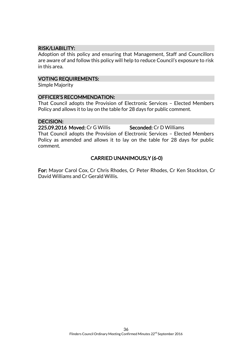# RISK/LIABILITY:

Adoption of this policy and ensuring that Management, Staff and Councillors are aware of and follow this policy will help to reduce Council's exposure to risk in this area.

#### VOTING REQUIREMENTS:

Simple Majority

# OFFICER'S RECOMMENDATION:

That Council adopts the Provision of Electronic Services – Elected Members Policy and allows it to lay on the table for 28 days for public comment.

#### DECISION:

225.09.2016 Moved: Cr G Willis Seconded: Cr D Williams

That Council adopts the Provision of Electronic Services – Elected Members Policy as amended and allows it to lay on the table for 28 days for public comment.

# CARRIED UNANIMOUSLY (6-0)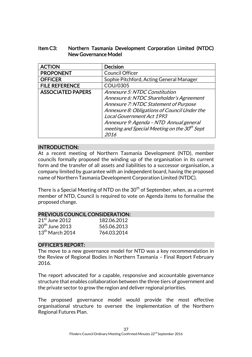# Item C3: Northern Tasmania Development Corporation Limited (NTDC) New Governance Model

| <b>ACTION</b>            | <b>Decision</b>                                   |
|--------------------------|---------------------------------------------------|
| <b>PROPONENT</b>         | Council Officer                                   |
| <b>OFFICER</b>           | Sophie Pitchford, Acting General Manager          |
| <b>FILE REFERENCE</b>    | COU/0305                                          |
| <b>ASSOCIATED PAPERS</b> | Annexure 5: NTDC Constitution                     |
|                          | Annexure 6: NTDC Shareholder's Agreement          |
|                          | Annexure 7: NTDC Statement of Purpose             |
|                          | Annexure 8: Obligations of Council Under the      |
|                          | <b>Local Government Act 1993</b>                  |
|                          | Annexure 9: Agenda - NTD Annual general           |
|                          | meeting and Special Meeting on the $30^{th}$ Sept |
|                          | 2016                                              |

# INTRODUCTION:

At a recent meeting of Northern Tasmania Development (NTD), member councils formally proposed the winding up of the organisation in its current form and the transfer of all assets and liabilities to a successor organisation, a company limited by guarantee with an independent board, having the proposed name of Northern Tasmania Development Corporation Limited (NTDC).

There is a Special Meeting of NTD on the  $30<sup>th</sup>$  of September, when, as a current member of NTD, Council is required to vote on Agenda items to formalise the proposed change.

#### PREVIOUS COUNCIL CONSIDERATION:

| $21st$ June 2012  | 182.06.2012 |
|-------------------|-------------|
| $20th$ June 2013  | 565.06.2013 |
| $13th$ March 2014 | 764.03.2014 |

#### OFFICER'S REPORT:

The move to a new governance model for NTD was a key recommendation in the Review of Regional Bodies in Northern Tasmania – Final Report February 2016.

The report advocated for a capable, responsive and accountable governance structure that enables collaboration between the three tiers of government and the private sector to grow the region and deliver regional priorities.

The proposed governance model would provide the most effective organisational structure to oversee the implementation of the Northern Regional Futures Plan.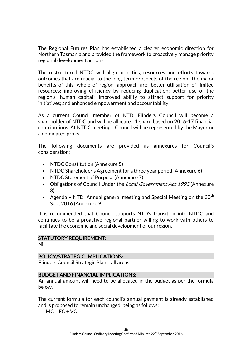The Regional Futures Plan has established a clearer economic direction for Northern Tasmania and provided the framework to proactively manage priority regional development actions.

The restructured NTDC will align priorities, resources and efforts towards outcomes that are crucial to the long term prospects of the region. The major benefits of this 'whole of region' approach are: better utilisation of limited resources; improving efficiency by reducing duplication; better use of the region's 'human capital'; improved ability to attract support for priority initiatives; and enhanced empowerment and accountability.

As a current Council member of NTD, Flinders Council will become a shareholder of NTDC and will be allocated 1 share based on 2016-17 financial contributions. At NTDC meetings, Council will be represented by the Mayor or a nominated proxy.

The following documents are provided as annexures for Council's consideration:

- NTDC Constitution (Annexure 5)
- NTDC Shareholder's Agreement for a three year period (Annexure 6)
- NTDC Statement of Purpose (Annexure 7)
- Obligations of Council Under the *Local Government Act 1993* (Annexure 8)
- Agenda NTD Annual general meeting and Special Meeting on the  $30<sup>th</sup>$ Sept 2016 (Annexure 9)

It is recommended that Council supports NTD's transition into NTDC and continues to be a proactive regional partner willing to work with others to facilitate the economic and social development of our region.

# STATUTORY REQUIREMENT:

Nil

#### POLICY/STRATEGIC IMPLICATIONS:

Flinders Council Strategic Plan – all areas.

#### BUDGET AND FINANCIAL IMPLICATIONS:

An annual amount will need to be allocated in the budget as per the formula below.

The current formula for each council's annual payment is already established and is proposed to remain unchanged, being as follows:

 $MC = FC + VC$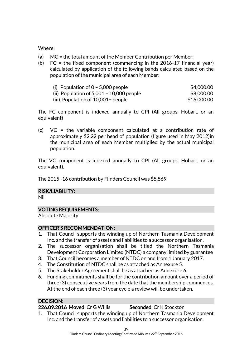# Where:

- (a) MC = the total amount of the Member Contribution per Member;
- (b) FC = the fixed component (commencing in the 2016-17 financial year) calculated by application of the following bands calculated based on the population of the municipal area of each Member:

| (i) Population of $0 - 5,000$ people       | \$4,000.00  |
|--------------------------------------------|-------------|
| (ii) Population of $5,001 - 10,000$ people | \$8,000.00  |
| (iii) Population of $10,001+$ people       | \$16,000,00 |

The FC component is indexed annually to CPI (All groups, Hobart, or an equivalent)

(c) VC = the variable component calculated at a contribution rate of approximately \$2.22 per head of population (figure used in May 2012)in the municipal area of each Member multiplied by the actual municipal population.

The VC component is indexed annually to CPI (All groups, Hobart, or an equivalent).

The 2015 -16 contribution by Flinders Council was \$5,569.

# RISK/LIABILITY:

Nil

# VOTING REQUIREMENTS:

Absolute Majority

# OFFICER'S RECOMMENDATION:

- 1. That Council supports the winding up of Northern Tasmania Development Inc. and the transfer of assets and liabilities to a successor organisation.
- 2. The successor organisation shall be titled the Northern Tasmania Development Corporation Limited (NTDC) a company limited by guarantee
- 3. That Council becomes a member of NTDC on and from 1 January 2017.
- 4. The Constitution of NTDC shall be as attached as Annexure 5.
- 5. The Stakeholder Agreement shall be as attached as Annexure 6.
- 6. Funding commitments shall be for the contribution amount over a period of three (3) consecutive years from the date that the membership commences. At the end of each three (3) year cycle a review will be undertaken.

# DECISION:

# 226.09.2016 Moved: Cr G Willis Seconded: Cr K Stockton

1. That Council supports the winding up of Northern Tasmania Development Inc. and the transfer of assets and liabilities to a successor organisation.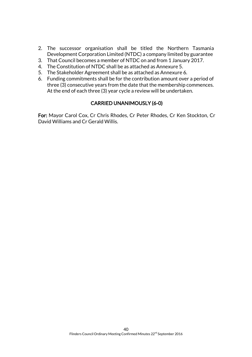- 2. The successor organisation shall be titled the Northern Tasmania Development Corporation Limited (NTDC) a company limited by guarantee
- 3. That Council becomes a member of NTDC on and from 1 January 2017.
- 4. The Constitution of NTDC shall be as attached as Annexure 5.
- 5. The Stakeholder Agreement shall be as attached as Annexure 6.
- 6. Funding commitments shall be for the contribution amount over a period of three (3) consecutive years from the date that the membership commences. At the end of each three (3) year cycle a review will be undertaken.

# CARRIED UNANIMOUSLY (6-0)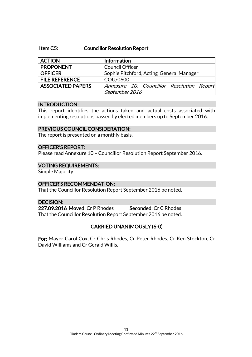#### Item C5: Councillor Resolution Report

| <b>ACTION</b>            | Information                               |
|--------------------------|-------------------------------------------|
| <b>PROPONENT</b>         | <b>Council Officer</b>                    |
| <b>OFFICER</b>           | Sophie Pitchford, Acting General Manager  |
| <b>FILE REFERENCE</b>    | COU/0600                                  |
| <b>ASSOCIATED PAPERS</b> | Annexure 10: Councillor Resolution Report |
|                          | September 2016                            |

#### INTRODUCTION:

This report identifies the actions taken and actual costs associated with implementing resolutions passed by elected members up to September 2016.

#### PREVIOUS COUNCIL CONSIDERATION:

The report is presented on a monthly basis.

# OFFICER'S REPORT:

Please read Annexure 10 – Councillor Resolution Report September 2016.

#### VOTING REQUIREMENTS:

Simple Majority

#### OFFICER'S RECOMMENDATION:

That the Councillor Resolution Report September 2016 be noted.

### DECISION:

227.09.2016 Moved: Cr P Rhodes Seconded: Cr C Rhodes That the Councillor Resolution Report September 2016 be noted.

# CARRIED UNANIMOUSLY (6-0)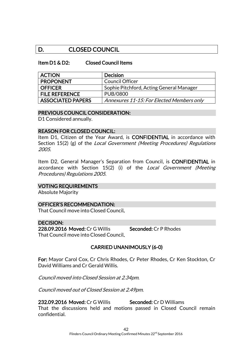# D. CLOSED COUNCIL

#### Item D1 & D2: Closed Council Items

| <b>ACTION</b>            | <b>Decision</b>                           |
|--------------------------|-------------------------------------------|
| <b>PROPONENT</b>         | Council Officer                           |
| <b>OFFICER</b>           | Sophie Pitchford, Acting General Manager  |
| <b>FILE REFERENCE</b>    | PUB/0800                                  |
| <b>ASSOCIATED PAPERS</b> | Annexures 11-15: For Elected Members only |

#### PREVIOUS COUNCIL CONSIDERATION:

D1 Considered annually.

#### REASON FOR CLOSED COUNCIL:

Item D1, Citizen of the Year Award, is **CONFIDENTIAL** in accordance with Section 15(2) (g) of the Local Government (Meeting Procedures) Regulations 2005.

Item D2, General Manager's Separation from Council, is CONFIDENTIAL in accordance with Section 15(2) (i) of the Local Government (Meeting Procedures) Regulations 2005.

#### VOTING REQUIREMENTS

Absolute Majority

#### OFFICER'S RECOMMENDATION:

That Council move into Closed Council.

#### DECISION:

228.09.2016 Moved: Cr G Willis Seconded: Cr P Rhodes That Council move into Closed Council.

# CARRIED UNANIMOUSLY (6-0)

For: Mayor Carol Cox, Cr Chris Rhodes, Cr Peter Rhodes, Cr Ken Stockton, Cr David Williams and Cr Gerald Willis.

Council moved into Closed Session at 2.34pm.

Council moved out of Closed Session at 2.49pm.

232.09.2016 Moved: Cr G Willis Seconded: Cr D Williams That the discussions held and motions passed in Closed Council remain confidential.